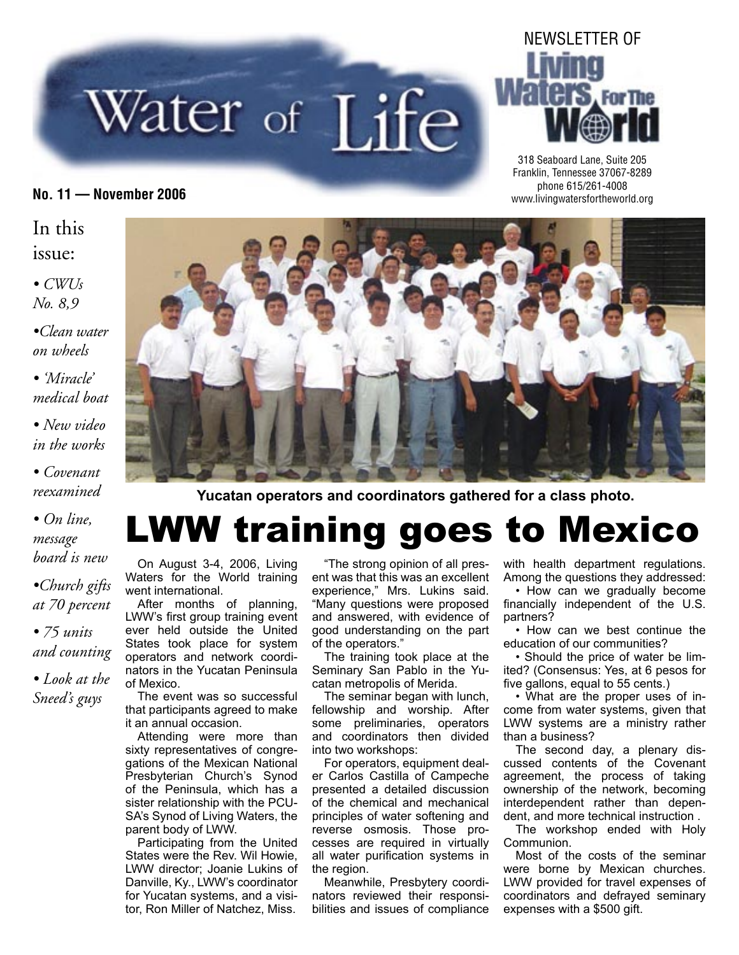# Water of Life



318 Seaboard Lane, Suite 205 Franklin, Tennessee 37067-8289 phone 615/261-4008 **No. 11 — November 2006** www.livingwatersfortheworld.org

#### In this issue:

*• CWUs No. 8,9*

*•Clean water on wheels*

*• 'Miracle' medical boat*

*• New video in the works*

#### *• Covenant reexamined*

*• On line, message board is new*

*•Church gifts at 70 percent*

*• 75 units and counting • Look at the*

*Sneed's guys*



**Yucatan operators and coordinators gathered for a class photo.**

# LWW training goes to Mexico

On August 3-4, 2006, Living Waters for the World training went international.

After months of planning, LWW's first group training event ever held outside the United States took place for system operators and network coordinators in the Yucatan Peninsula of Mexico.

The event was so successful that participants agreed to make it an annual occasion.

Attending were more than sixty representatives of congregations of the Mexican National Presbyterian Church's Synod of the Peninsula, which has a sister relationship with the PCU-SA's Synod of Living Waters, the parent body of LWW.

Participating from the United States were the Rev. Wil Howie, LWW director; Joanie Lukins of Danville, Ky., LWW's coordinator for Yucatan systems, and a visitor, Ron Miller of Natchez, Miss.

"The strong opinion of all present was that this was an excellent experience," Mrs. Lukins said. "Many questions were proposed and answered, with evidence of good understanding on the part of the operators."

The training took place at the Seminary San Pablo in the Yucatan metropolis of Merida.

The seminar began with lunch, fellowship and worship. After some preliminaries, operators and coordinators then divided into two workshops:

For operators, equipment dealer Carlos Castilla of Campeche presented a detailed discussion of the chemical and mechanical principles of water softening and reverse osmosis. Those processes are required in virtually all water purification systems in the region.

Meanwhile, Presbytery coordinators reviewed their responsibilities and issues of compliance with health department regulations. Among the questions they addressed:

• How can we gradually become financially independent of the U.S. partners?

• How can we best continue the education of our communities?

• Should the price of water be limited? (Consensus: Yes, at 6 pesos for five gallons, equal to 55 cents.)

• What are the proper uses of income from water systems, given that LWW systems are a ministry rather than a business?

The second day, a plenary discussed contents of the Covenant agreement, the process of taking ownership of the network, becoming interdependent rather than dependent, and more technical instruction .

The workshop ended with Holy Communion.

Most of the costs of the seminar were borne by Mexican churches. LWW provided for travel expenses of coordinators and defrayed seminary expenses with a \$500 gift.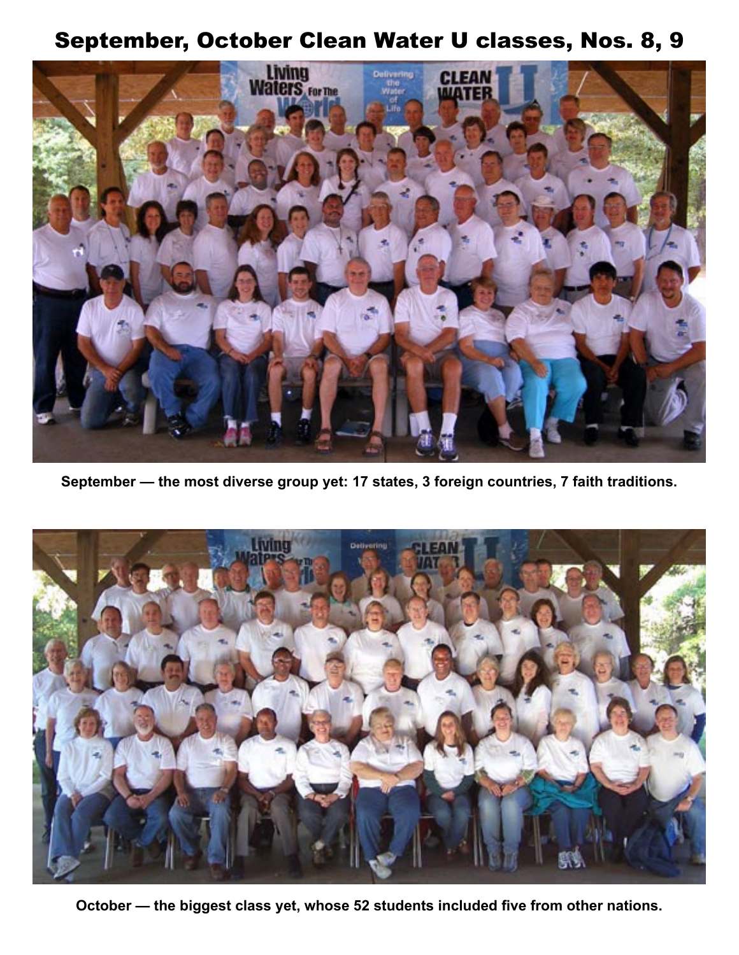## September, October Clean Water U classes, Nos. 8, 9



**September — the most diverse group yet: 17 states, 3 foreign countries, 7 faith traditions.**



**October — the biggest class yet, whose 52 students included five from other nations.**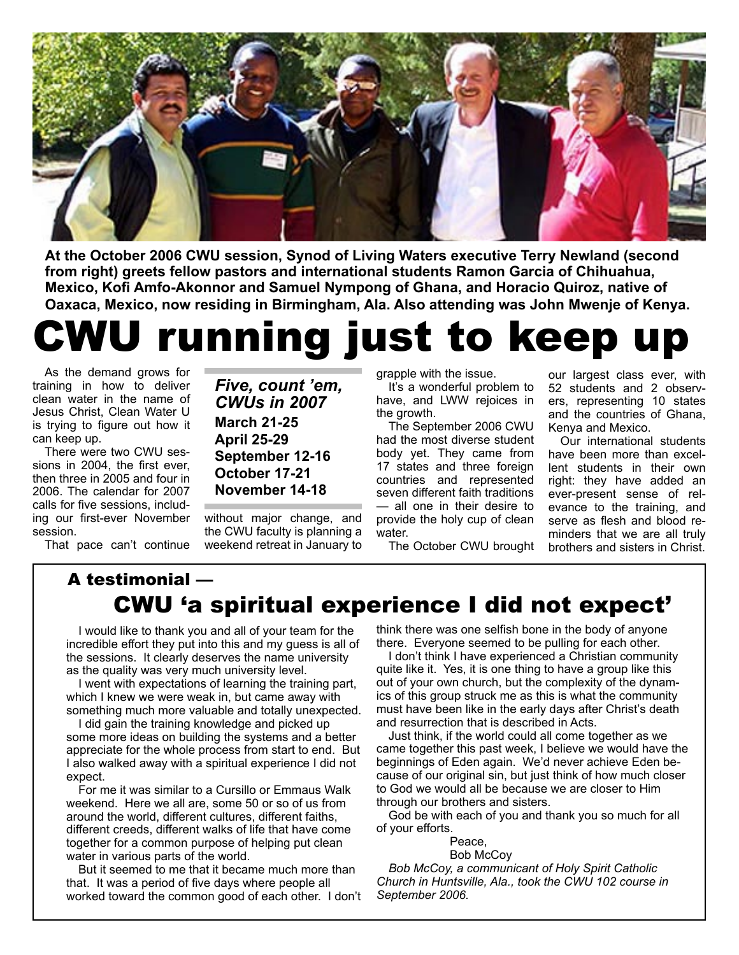

**At the October 2006 CWU session, Synod of Living Waters executive Terry Newland (second from right) greets fellow pastors and international students Ramon Garcia of Chihuahua, Mexico, Kofi Amfo-Akonnor and Samuel Nympong of Ghana, and Horacio Quiroz, native of Oaxaca, Mexico, now residing in Birmingham, Ala. Also attending was John Mwenje of Kenya.**

# running just to keep up

As the demand grows for training in how to deliver clean water in the name of Jesus Christ, Clean Water U is trying to figure out how it can keep up.

There were two CWU sessions in 2004, the first ever, then three in 2005 and four in 2006. The calendar for 2007 calls for five sessions, including our first-ever November session.

That pace can't continue

*Five, count 'em, CWUs in 2007* **March 21-25 April 25-29 September 12-16 October 17-21 November 14-18**

without major change, and the CWU faculty is planning a weekend retreat in January to grapple with the issue.

It's a wonderful problem to have, and LWW rejoices in the growth.

The September 2006 CWU had the most diverse student body yet. They came from 17 states and three foreign countries and represented seven different faith traditions — all one in their desire to provide the holy cup of clean water.

The October CWU brought

our largest class ever, with 52 students and 2 observers, representing 10 states and the countries of Ghana, Kenya and Mexico.

Our international students have been more than excellent students in their own right: they have added an ever-present sense of relevance to the training, and serve as flesh and blood reminders that we are all truly brothers and sisters in Christ.

#### A testimonial — CWU 'a spiritual experience I did not expect'

I would like to thank you and all of your team for the incredible effort they put into this and my guess is all of the sessions. It clearly deserves the name university as the quality was very much university level.

I went with expectations of learning the training part, which I knew we were weak in, but came away with something much more valuable and totally unexpected.

I did gain the training knowledge and picked up some more ideas on building the systems and a better appreciate for the whole process from start to end. But I also walked away with a spiritual experience I did not expect.

For me it was similar to a Cursillo or Emmaus Walk weekend. Here we all are, some 50 or so of us from around the world, different cultures, different faiths, different creeds, different walks of life that have come together for a common purpose of helping put clean water in various parts of the world.

But it seemed to me that it became much more than that. It was a period of five days where people all worked toward the common good of each other. I don't

think there was one selfish bone in the body of anyone there. Everyone seemed to be pulling for each other.

I don't think I have experienced a Christian community quite like it. Yes, it is one thing to have a group like this out of your own church, but the complexity of the dynamics of this group struck me as this is what the community must have been like in the early days after Christ's death and resurrection that is described in Acts.

Just think, if the world could all come together as we came together this past week, I believe we would have the beginnings of Eden again. We'd never achieve Eden because of our original sin, but just think of how much closer to God we would all be because we are closer to Him through our brothers and sisters.

God be with each of you and thank you so much for all of your efforts.

Peace,

 Bob McCoy *Bob McCoy, a communicant of Holy Spirit Catholic Church in Huntsville, Ala., took the CWU 102 course in September 2006.*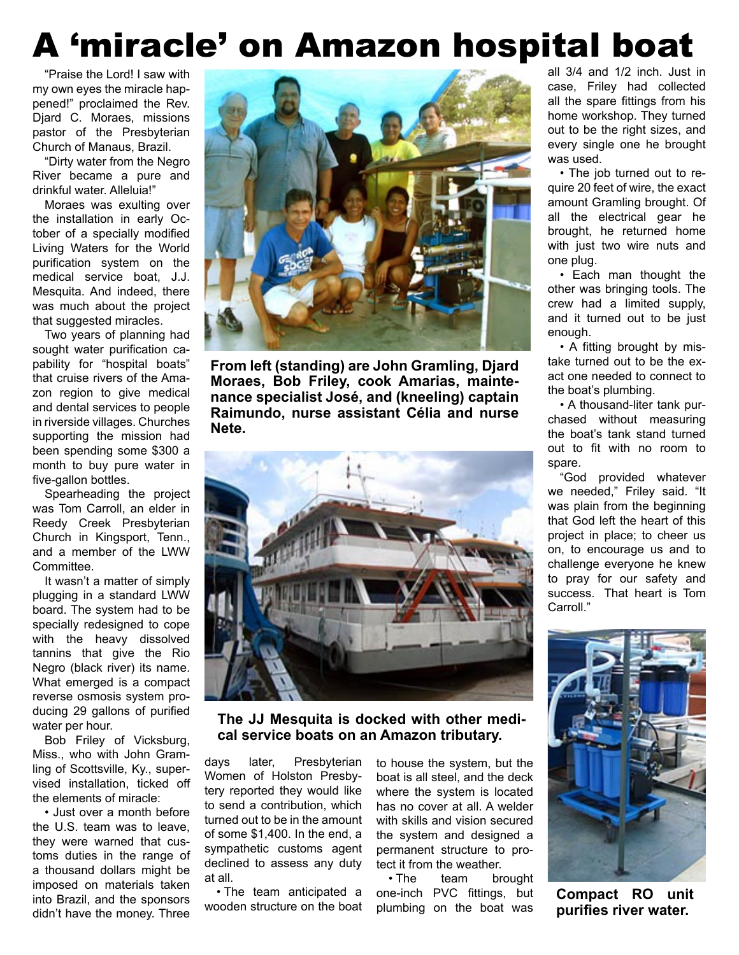# A 'miracle' on Amazon hospital boat

"Praise the Lord! I saw with my own eyes the miracle happened!" proclaimed the Rev. Djard C. Moraes, missions pastor of the Presbyterian Church of Manaus, Brazil.

"Dirty water from the Negro River became a pure and drinkful water. Alleluia!"

Moraes was exulting over the installation in early October of a specially modified Living Waters for the World purification system on the medical service boat, J.J. Mesquita. And indeed, there was much about the project that suggested miracles.

Two years of planning had sought water purification capability for "hospital boats" that cruise rivers of the Amazon region to give medical and dental services to people in riverside villages. Churches supporting the mission had been spending some \$300 a month to buy pure water in five-gallon bottles.

Spearheading the project was Tom Carroll, an elder in Reedy Creek Presbyterian Church in Kingsport, Tenn., and a member of the LWW Committee.

It wasn't a matter of simply plugging in a standard LWW board. The system had to be specially redesigned to cope with the heavy dissolved tannins that give the Rio Negro (black river) its name. What emerged is a compact reverse osmosis system producing 29 gallons of purified water per hour.

Bob Friley of Vicksburg, Miss., who with John Gramling of Scottsville, Ky., supervised installation, ticked off the elements of miracle:

• Just over a month before the U.S. team was to leave, they were warned that customs duties in the range of a thousand dollars might be imposed on materials taken into Brazil, and the sponsors didn't have the money. Three



**From left (standing) are John Gramling, Djard Moraes, Bob Friley, cook Amarias, maintenance specialist José, and (kneeling) captain Raimundo, nurse assistant Célia and nurse Nete.**



**The JJ Mesquita is docked with other medical service boats on an Amazon tributary.**

days later, Presbyterian Women of Holston Presbytery reported they would like to send a contribution, which turned out to be in the amount of some \$1,400. In the end, a sympathetic customs agent declined to assess any duty at all.

• The team anticipated a wooden structure on the boat to house the system, but the boat is all steel, and the deck where the system is located has no cover at all. A welder with skills and vision secured the system and designed a permanent structure to protect it from the weather.

• The team brought one-inch PVC fittings, but plumbing on the boat was

all 3/4 and 1/2 inch. Just in case, Friley had collected all the spare fittings from his home workshop. They turned out to be the right sizes, and every single one he brought was used.

• The job turned out to require 20 feet of wire, the exact amount Gramling brought. Of all the electrical gear he brought, he returned home with just two wire nuts and one plug.

• Each man thought the other was bringing tools. The crew had a limited supply, and it turned out to be just enough.

• A fitting brought by mistake turned out to be the exact one needed to connect to the boat's plumbing.

• A thousand-liter tank purchased without measuring the boat's tank stand turned out to fit with no room to spare.

"God provided whatever we needed," Friley said. "It was plain from the beginning that God left the heart of this project in place; to cheer us on, to encourage us and to challenge everyone he knew to pray for our safety and success. That heart is Tom Carroll."



**Compact RO unit purifies river water.**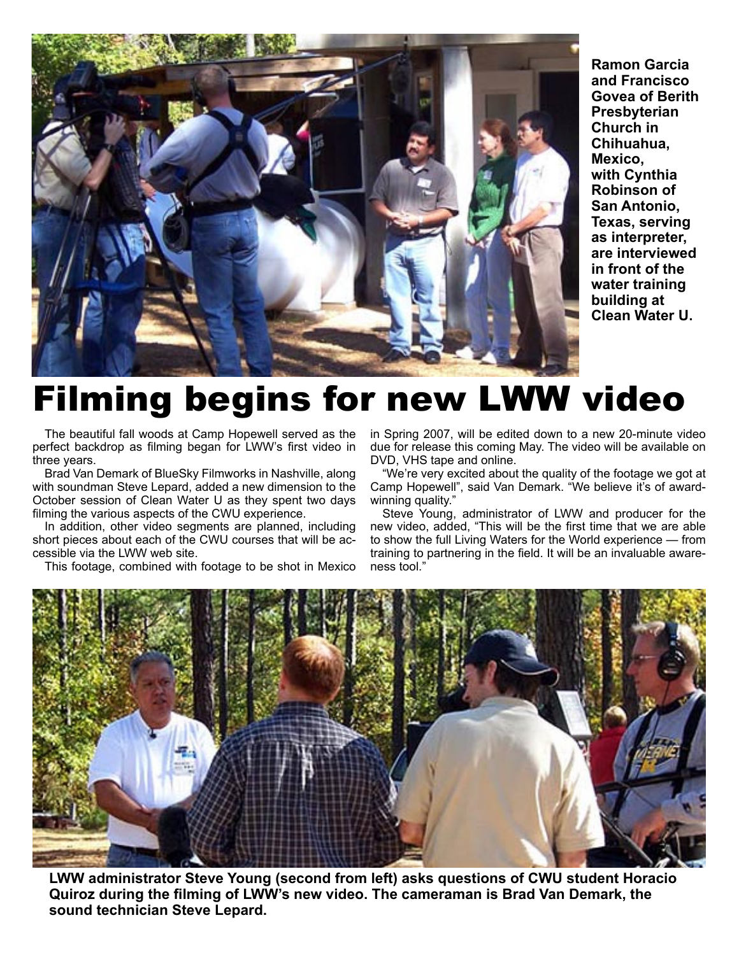

**Ramon Garcia and Francisco Govea of Berith Presbyterian Church in Chihuahua, Mexico, with Cynthia Robinson of San Antonio, Texas, serving as interpreter, are interviewed in front of the water training building at Clean Water U.**

# Filming begins for new LWW video

The beautiful fall woods at Camp Hopewell served as the perfect backdrop as filming began for LWW's first video in three years.

Brad Van Demark of BlueSky Filmworks in Nashville, along with soundman Steve Lepard, added a new dimension to the October session of Clean Water U as they spent two days filming the various aspects of the CWU experience.

In addition, other video segments are planned, including short pieces about each of the CWU courses that will be accessible via the LWW web site.

This footage, combined with footage to be shot in Mexico

in Spring 2007, will be edited down to a new 20-minute video due for release this coming May. The video will be available on DVD, VHS tape and online.

"We're very excited about the quality of the footage we got at Camp Hopewell", said Van Demark. "We believe it's of awardwinning quality."

Steve Young, administrator of LWW and producer for the new video, added, "This will be the first time that we are able to show the full Living Waters for the World experience — from training to partnering in the field. It will be an invaluable awareness tool."



**LWW administrator Steve Young (second from left) asks questions of CWU student Horacio Quiroz during the filming of LWW's new video. The cameraman is Brad Van Demark, the sound technician Steve Lepard.**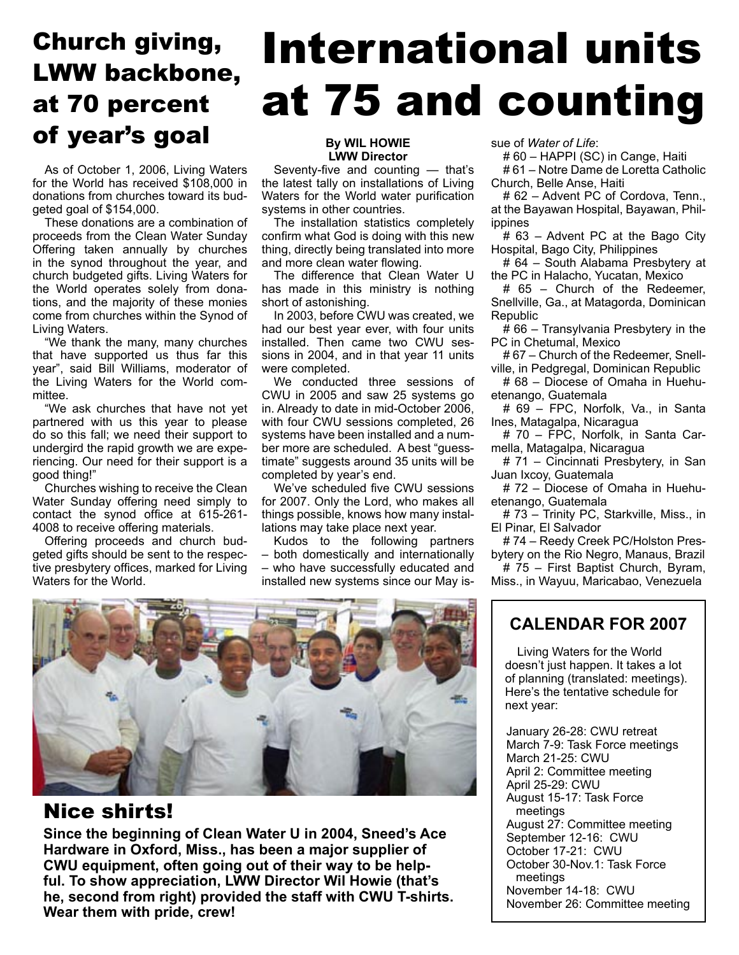# Church giving, LWW backbone, at 70 percent **of year's goal By WIL HOWIE**

As of October 1, 2006, Living Waters for the World has received \$108,000 in donations from churches toward its budgeted goal of \$154,000.

These donations are a combination of proceeds from the Clean Water Sunday Offering taken annually by churches in the synod throughout the year, and church budgeted gifts. Living Waters for the World operates solely from donations, and the majority of these monies come from churches within the Synod of Living Waters.

"We thank the many, many churches that have supported us thus far this year", said Bill Williams, moderator of the Living Waters for the World committee.

"We ask churches that have not yet partnered with us this year to please do so this fall; we need their support to undergird the rapid growth we are experiencing. Our need for their support is a good thing!"

Churches wishing to receive the Clean Water Sunday offering need simply to contact the synod office at 615-261- 4008 to receive offering materials.

Offering proceeds and church budgeted gifts should be sent to the respective presbytery offices, marked for Living Waters for the World.

# International units at 75 and counting

# **LWW Director**

Seventy-five and counting — that's the latest tally on installations of Living Waters for the World water purification systems in other countries.

The installation statistics completely confirm what God is doing with this new thing, directly being translated into more and more clean water flowing.

The difference that Clean Water U has made in this ministry is nothing short of astonishing.

In 2003, before CWU was created, we had our best year ever, with four units installed. Then came two CWU sessions in 2004, and in that year 11 units were completed.

We conducted three sessions of CWU in 2005 and saw 25 systems go in. Already to date in mid-October 2006, with four CWU sessions completed, 26 systems have been installed and a number more are scheduled. A best "guesstimate" suggests around 35 units will be completed by year's end.

We've scheduled five CWU sessions for 2007. Only the Lord, who makes all things possible, knows how many installations may take place next year.

Kudos to the following partners – both domestically and internationally – who have successfully educated and installed new systems since our May issue of *Water of Life*:

# 60 – HAPPI (SC) in Cange, Haiti

# 61 – Notre Dame de Loretta Catholic Church, Belle Anse, Haiti

# 62 – Advent PC of Cordova, Tenn., at the Bayawan Hospital, Bayawan, Philippines

# 63 – Advent PC at the Bago City Hospital, Bago City, Philippines

# 64 – South Alabama Presbytery at the PC in Halacho, Yucatan, Mexico

# 65 – Church of the Redeemer, Snellville, Ga., at Matagorda, Dominican Republic

# 66 – Transylvania Presbytery in the PC in Chetumal, Mexico

# 67 – Church of the Redeemer, Snellville, in Pedgregal, Dominican Republic

# 68 – Diocese of Omaha in Huehuetenango, Guatemala

# 69 – FPC, Norfolk, Va., in Santa Ines, Matagalpa, Nicaragua

# 70 – FPC, Norfolk, in Santa Carmella, Matagalpa, Nicaragua

# 71 – Cincinnati Presbytery, in San Juan Ixcoy, Guatemala

# 72 – Diocese of Omaha in Huehuetenango, Guatemala

# 73 – Trinity PC, Starkville, Miss., in El Pinar, El Salvador

# 74 – Reedy Creek PC/Holston Presbytery on the Rio Negro, Manaus, Brazil # 75 – First Baptist Church, Byram,

Miss., in Wayuu, Maricabao, Venezuela



#### Nice shirts!

**Since the beginning of Clean Water U in 2004, Sneed's Ace Hardware in Oxford, Miss., has been a major supplier of CWU equipment, often going out of their way to be helpful. To show appreciation, LWW Director Wil Howie (that's he, second from right) provided the staff with CWU T-shirts. Wear them with pride, crew!**

#### **CALENDAR FOR 2007**

Living Waters for the World doesn't just happen. It takes a lot of planning (translated: meetings). Here's the tentative schedule for next year:

January 26-28: CWU retreat March 7-9: Task Force meetings March 21-25: CWU April 2: Committee meeting April 25-29: CWU August 15-17: Task Force meetings August 27: Committee meeting September 12-16: CWU October 17-21: CWU October 30-Nov.1: Task Force meetings November 14-18: CWU November 26: Committee meeting